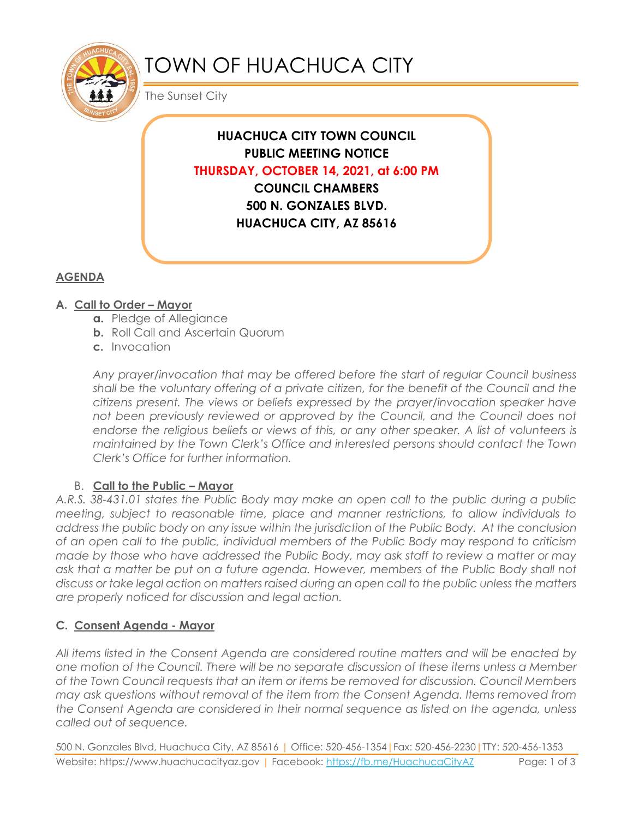

# TOWN OF HUACHUCA CITY

The Sunset City

**HUACHUCA CITY TOWN COUNCIL PUBLIC MEETING NOTICE THURSDAY, OCTOBER 14, 2021, at 6:00 PM COUNCIL CHAMBERS 500 N. GONZALES BLVD. HUACHUCA CITY, AZ 85616**

# **AGENDA**

## **A. Call to Order – Mayor**

- **a.** Pledge of Allegiance
- **b.** Roll Call and Ascertain Quorum
- **c.** Invocation

*Any prayer/invocation that may be offered before the start of regular Council business shall be the voluntary offering of a private citizen, for the benefit of the Council and the citizens present. The views or beliefs expressed by the prayer/invocation speaker have*  not been previously reviewed or approved by the Council, and the Council does not endorse the religious beliefs or views of this, or any other speaker. A list of volunteers is *maintained by the Town Clerk's Office and interested persons should contact the Town Clerk's Office for further information.*

## B. **Call to the Public – Mayor**

*A.R.S. 38-431.01 states the Public Body may make an open call to the public during a public meeting, subject to reasonable time, place and manner restrictions, to allow individuals to address the public body on any issue within the jurisdiction of the Public Body. At the conclusion of an open call to the public, individual members of the Public Body may respond to criticism made by those who have addressed the Public Body, may ask staff to review a matter or may ask that a matter be put on a future agenda. However, members of the Public Body shall not discuss or take legal action on matters raised during an open call to the public unless the matters are properly noticed for discussion and legal action.*

## **C. Consent Agenda - Mayor**

*All items listed in the Consent Agenda are considered routine matters and will be enacted by one motion of the Council. There will be no separate discussion of these items unless a Member of the Town Council requests that an item or items be removed for discussion. Council Members may ask questions without removal of the item from the Consent Agenda. Items removed from the Consent Agenda are considered in their normal sequence as listed on the agenda, unless called out of sequence.*

500 N. Gonzales Blvd, Huachuca City, AZ 85616 | Office: 520-456-1354|Fax: 520-456-2230|TTY: 520-456-1353 Website: https://www.huachucacityaz.gov | Facebook:<https://fb.me/HuachucaCityAZ> Page: 1 of 3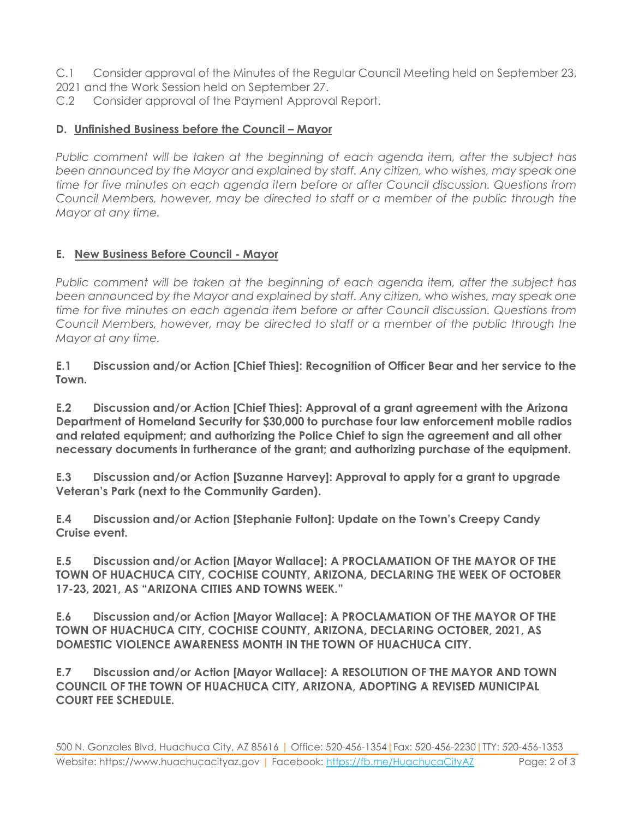- C.1 Consider approval of the Minutes of the Regular Council Meeting held on September 23,
- 2021 and the Work Session held on September 27.
- C.2 Consider approval of the Payment Approval Report.

#### **D.** Unfinished Business before the Council – Mayor

*Public comment will be taken at the beginning of each agenda item, after the subject has been announced by the Mayor and explained by staff. Any citizen, who wishes, may speak one time for five minutes on each agenda item before or after Council discussion. Questions from Council Members, however, may be directed to staff or a member of the public through the Mayor at any time.*

### **E. New Business Before Council - Mayor**

*Public comment will be taken at the beginning of each agenda item, after the subject has been announced by the Mayor and explained by staff. Any citizen, who wishes, may speak one time for five minutes on each agenda item before or after Council discussion. Questions from Council Members, however, may be directed to staff or a member of the public through the Mayor at any time.* 

**E.1 Discussion and/or Action [Chief Thies]: Recognition of Officer Bear and her service to the Town.**

**E.2 Discussion and/or Action [Chief Thies]: Approval of a grant agreement with the Arizona Department of Homeland Security for \$30,000 to purchase four law enforcement mobile radios and related equipment; and authorizing the Police Chief to sign the agreement and all other necessary documents in furtherance of the grant; and authorizing purchase of the equipment.**

**E.3 Discussion and/or Action [Suzanne Harvey]: Approval to apply for a grant to upgrade Veteran's Park (next to the Community Garden).**

**E.4 Discussion and/or Action [Stephanie Fulton]: Update on the Town's Creepy Candy Cruise event.**

**E.5 Discussion and/or Action [Mayor Wallace]: A PROCLAMATION OF THE MAYOR OF THE TOWN OF HUACHUCA CITY, COCHISE COUNTY, ARIZONA, DECLARING THE WEEK OF OCTOBER 17-23, 2021, AS "ARIZONA CITIES AND TOWNS WEEK."** 

**E.6 Discussion and/or Action [Mayor Wallace]: A PROCLAMATION OF THE MAYOR OF THE TOWN OF HUACHUCA CITY, COCHISE COUNTY, ARIZONA, DECLARING OCTOBER, 2021, AS DOMESTIC VIOLENCE AWARENESS MONTH IN THE TOWN OF HUACHUCA CITY.**

**E.7 Discussion and/or Action [Mayor Wallace]: A RESOLUTION OF THE MAYOR AND TOWN COUNCIL OF THE TOWN OF HUACHUCA CITY, ARIZONA, ADOPTING A REVISED MUNICIPAL COURT FEE SCHEDULE.**